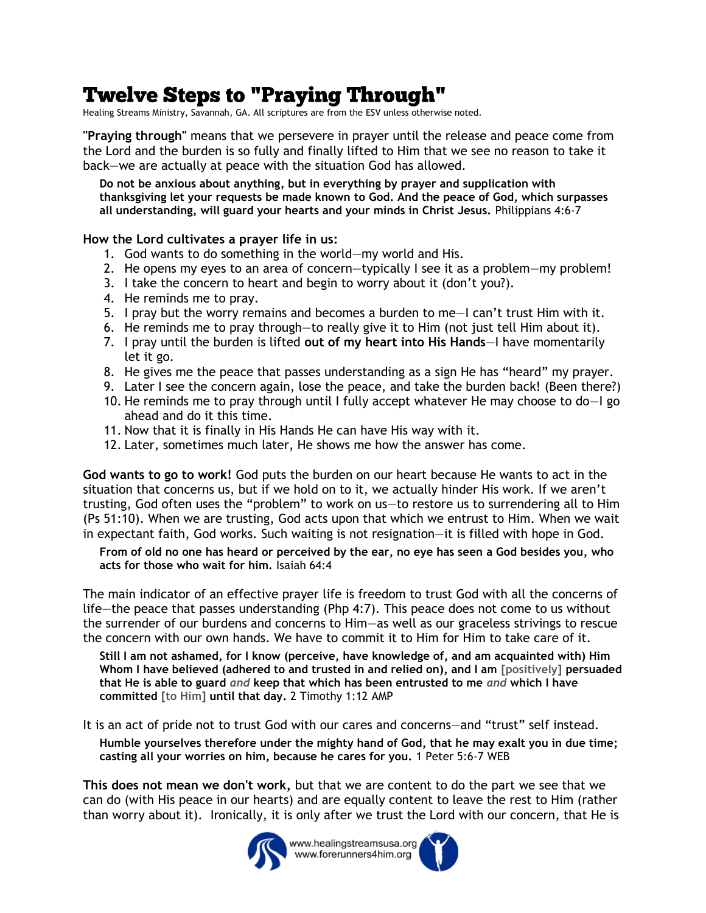## **Twelve Steps to "Praying Through"**

Healing Streams Ministry, Savannah, GA. All scriptures are from the ESV unless otherwise noted.

**"Praying through"** means that we persevere in prayer until the release and peace come from the Lord and the burden is so fully and finally lifted to Him that we see no reason to take it back—we are actually at peace with the situation God has allowed.

**Do not be anxious about anything, but in everything by prayer and supplication with thanksgiving let your requests be made known to God. And the peace of God, which surpasses all understanding, will guard your hearts and your minds in Christ Jesus.** Philippians 4:6-7

## **How the Lord cultivates a prayer life in us:**

- 1. God wants to do something in the world—my world and His.
- 2. He opens my eyes to an area of concern—typically I see it as a problem—my problem!
- 3. I take the concern to heart and begin to worry about it (don't you?).
- 4. He reminds me to pray.
- 5. I pray but the worry remains and becomes a burden to me—I can't trust Him with it.
- 6. He reminds me to pray through—to really give it to Him (not just tell Him about it).
- 7. I pray until the burden is lifted **out of my heart into His Hands**—I have momentarily let it go.
- 8. He gives me the peace that passes understanding as a sign He has "heard" my prayer.
- 9. Later I see the concern again, lose the peace, and take the burden back! (Been there?)
- 10. He reminds me to pray through until I fully accept whatever He may choose to do—I go ahead and do it this time.
- 11. Now that it is finally in His Hands He can have His way with it.
- 12. Later, sometimes much later, He shows me how the answer has come.

**God wants to go to work!** God puts the burden on our heart because He wants to act in the situation that concerns us, but if we hold on to it, we actually hinder His work. If we aren't trusting, God often uses the "problem" to work on us—to restore us to surrendering all to Him (Ps 51:10). When we are trusting, God acts upon that which we entrust to Him. When we wait in expectant faith, God works. Such waiting is not resignation—it is filled with hope in God.

**From of old no one has heard or perceived by the ear, no eye has seen a God besides you, who acts for those who wait for him.** Isaiah 64:4

The main indicator of an effective prayer life is freedom to trust God with all the concerns of life—the peace that passes understanding (Php 4:7). This peace does not come to us without the surrender of our burdens and concerns to Him—as well as our graceless strivings to rescue the concern with our own hands. We have to commit it to Him for Him to take care of it.

**Still I am not ashamed, for I know (perceive, have knowledge of, and am acquainted with) Him Whom I have believed (adhered to and trusted in and relied on), and I am [positively] persuaded that He is able to guard** *and* **keep that which has been entrusted to me** *and* **which I have committed [to Him] until that day.** 2 Timothy 1:12 AMP

It is an act of pride not to trust God with our cares and concerns—and "trust" self instead.

**Humble yourselves therefore under the mighty hand of God, that he may exalt you in due time; casting all your worries on him, because he cares for you.** 1 Peter 5:6-7 WEB

**This does not mean we don't work,** but that we are content to do the part we see that we can do (with His peace in our hearts) and are equally content to leave the rest to Him (rather than worry about it). Ironically, it is only after we trust the Lord with our concern, that He is